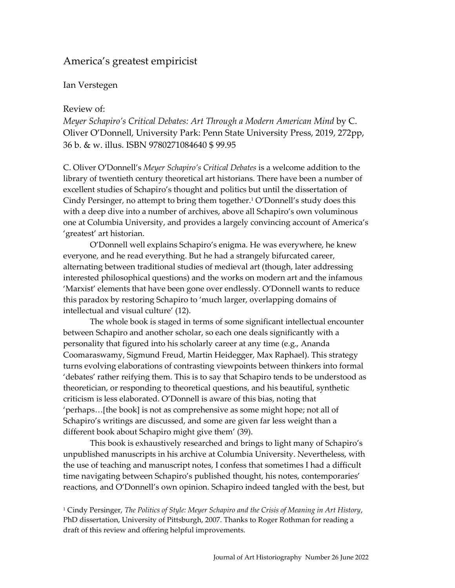# America's greatest empiricist

#### Ian Verstegen

#### Review of:

*Meyer Schapiro's Critical Debates: Art Through a Modern American Mind* by C. Oliver O'Donnell, University Park: Penn State University Press, 2019, 272pp, 36 b. & w. illus. ISBN 9780271084640 \$ 99.95

C. Oliver O'Donnell's *Meyer Schapiro's Critical Debates* is a welcome addition to the library of twentieth century theoretical art historians. There have been a number of excellent studies of Schapiro's thought and politics but until the dissertation of Cindy Persinger, no attempt to bring them together.<sup>1</sup> O'Donnell's study does this with a deep dive into a number of archives, above all Schapiro's own voluminous one at Columbia University, and provides a largely convincing account of America's 'greatest' art historian.

O'Donnell well explains Schapiro's enigma. He was everywhere, he knew everyone, and he read everything. But he had a strangely bifurcated career, alternating between traditional studies of medieval art (though, later addressing interested philosophical questions) and the works on modern art and the infamous 'Marxist' elements that have been gone over endlessly. O'Donnell wants to reduce this paradox by restoring Schapiro to 'much larger, overlapping domains of intellectual and visual culture' (12).

The whole book is staged in terms of some significant intellectual encounter between Schapiro and another scholar, so each one deals significantly with a personality that figured into his scholarly career at any time (e.g., Ananda Coomaraswamy, Sigmund Freud, Martin Heidegger, Max Raphael). This strategy turns evolving elaborations of contrasting viewpoints between thinkers into formal 'debates' rather reifying them. This is to say that Schapiro tends to be understood as theoretician, or responding to theoretical questions, and his beautiful, synthetic criticism is less elaborated. O'Donnell is aware of this bias, noting that 'perhaps…[the book] is not as comprehensive as some might hope; not all of Schapiro's writings are discussed, and some are given far less weight than a different book about Schapiro might give them' (39).

This book is exhaustively researched and brings to light many of Schapiro's unpublished manuscripts in his archive at Columbia University. Nevertheless, with the use of teaching and manuscript notes, I confess that sometimes I had a difficult time navigating between Schapiro's published thought, his notes, contemporaries' reactions, and O'Donnell's own opinion. Schapiro indeed tangled with the best, but

<sup>1</sup> Cindy Persinger, *The Politics of Style: Meyer Schapiro and the Crisis of Meaning in Art History*, PhD dissertation, University of Pittsburgh, 2007. Thanks to Roger Rothman for reading a draft of this review and offering helpful improvements.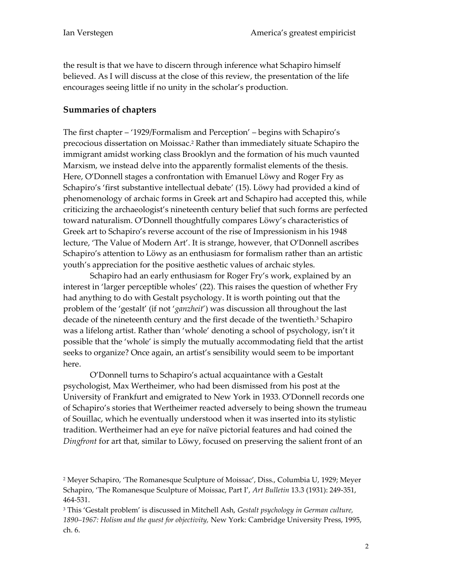the result is that we have to discern through inference what Schapiro himself believed. As I will discuss at the close of this review, the presentation of the life encourages seeing little if no unity in the scholar's production.

### **Summaries of chapters**

The first chapter – '1929/Formalism and Perception' – begins with Schapiro's precocious dissertation on Moissac.<sup>2</sup> Rather than immediately situate Schapiro the immigrant amidst working class Brooklyn and the formation of his much vaunted Marxism, we instead delve into the apparently formalist elements of the thesis. Here, O'Donnell stages a confrontation with Emanuel Löwy and Roger Fry as Schapiro's 'first substantive intellectual debate' (15). Löwy had provided a kind of phenomenology of archaic forms in Greek art and Schapiro had accepted this, while criticizing the archaeologist's nineteenth century belief that such forms are perfected toward naturalism. O'Donnell thoughtfully compares Löwy's characteristics of Greek art to Schapiro's reverse account of the rise of Impressionism in his 1948 lecture, 'The Value of Modern Art'. It is strange, however, that O'Donnell ascribes Schapiro's attention to Löwy as an enthusiasm for formalism rather than an artistic youth's appreciation for the positive aesthetic values of archaic styles.

Schapiro had an early enthusiasm for Roger Fry's work, explained by an interest in 'larger perceptible wholes' (22). This raises the question of whether Fry had anything to do with Gestalt psychology. It is worth pointing out that the problem of the 'gestalt' (if not '*ganzheit*') was discussion all throughout the last decade of the nineteenth century and the first decade of the twentieth.<sup>3</sup> Schapiro was a lifelong artist. Rather than 'whole' denoting a school of psychology, isn't it possible that the 'whole' is simply the mutually accommodating field that the artist seeks to organize? Once again, an artist's sensibility would seem to be important here.

O'Donnell turns to Schapiro's actual acquaintance with a Gestalt psychologist, Max Wertheimer, who had been dismissed from his post at the University of Frankfurt and emigrated to New York in 1933. O'Donnell records one of Schapiro's stories that Wertheimer reacted adversely to being shown the trumeau of Souillac, which he eventually understood when it was inserted into its stylistic tradition. Wertheimer had an eye for naïve pictorial features and had coined the *Dingfront* for art that, similar to Löwy, focused on preserving the salient front of an

<sup>2</sup> Meyer Schapiro, 'The Romanesque Sculpture of Moissac', Diss., Columbia U, 1929; Meyer Schapiro, 'The Romanesque Sculpture of Moissac, Part I', *Art Bulletin* 13.3 (1931): 249-351, 464-531.

<sup>3</sup> This 'Gestalt problem' is discussed in Mitchell Ash, *Gestalt psychology in German culture, 1890–1967: Holism and the quest for objectivity,* New York: Cambridge University Press, 1995, ch. 6.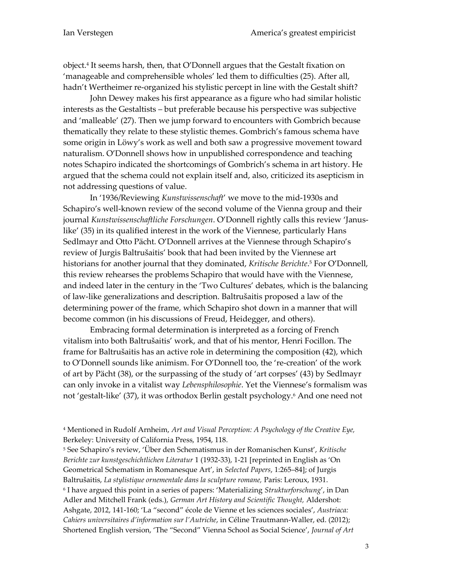object.<sup>4</sup> It seems harsh, then, that O'Donnell argues that the Gestalt fixation on 'manageable and comprehensible wholes' led them to difficulties (25). After all, hadn't Wertheimer re-organized his stylistic percept in line with the Gestalt shift?

John Dewey makes his first appearance as a figure who had similar holistic interests as the Gestaltists – but preferable because his perspective was subjective and 'malleable' (27). Then we jump forward to encounters with Gombrich because thematically they relate to these stylistic themes. Gombrich's famous schema have some origin in Löwy's work as well and both saw a progressive movement toward naturalism. O'Donnell shows how in unpublished correspondence and teaching notes Schapiro indicated the shortcomings of Gombrich's schema in art history. He argued that the schema could not explain itself and, also, criticized its asepticism in not addressing questions of value.

In '1936/Reviewing *Kunstwissenschaft*' we move to the mid-1930s and Schapiro's well-known review of the second volume of the Vienna group and their journal *Kunstwissenschaftliche Forschungen*. O'Donnell rightly calls this review 'Januslike' (35) in its qualified interest in the work of the Viennese, particularly Hans Sedlmayr and Otto Pächt. O'Donnell arrives at the Viennese through Schapiro's review of Jurgis Baltrušaitis' book that had been invited by the Viennese art historians for another journal that they dominated, *Kritische Berichte*. <sup>5</sup> For O'Donnell, this review rehearses the problems Schapiro that would have with the Viennese, and indeed later in the century in the 'Two Cultures' debates, which is the balancing of law-like generalizations and description. Baltrušaitis proposed a law of the determining power of the frame, which Schapiro shot down in a manner that will become common (in his discussions of Freud, Heidegger, and others).

Embracing formal determination is interpreted as a forcing of French vitalism into both Baltrušaitis' work, and that of his mentor, Henri Focillon. The frame for Baltrušaitis has an active role in determining the composition (42), which to O'Donnell sounds like animism. For O'Donnell too, the 're-creation' of the work of art by Pächt (38), or the surpassing of the study of 'art corpses' (43) by Sedlmayr can only invoke in a vitalist way *Lebensphilosophie*. Yet the Viennese's formalism was not 'gestalt-like' (37), it was orthodox Berlin gestalt psychology.<sup>6</sup> And one need not

<sup>4</sup> Mentioned in Rudolf Arnheim, *Art and Visual Perception: A Psychology of the Creative Eye,*  Berkeley: University of California Press, 1954, 118.

<sup>5</sup> See Schapiro's review, 'Über den Schematismus in der Romanischen Kunst', *Kritische Berichte zur kunstgeschichtlichen Literatur* 1 (1932-33), 1-21 [reprinted in English as 'On Geometrical Schematism in Romanesque Art', in *Selected Papers*, 1:265–84]; of Jurgis Baltrušaitis, *La stylistique ornementale dans la sculpture romane,* Paris: Leroux, 1931. 6 I have argued this point in a series of papers: 'Materializing *Strukturforschung*', in Dan Adler and Mitchell Frank (eds.), *German Art History and Scientific Thought,* Aldershot: Ashgate, 2012, 141-160; 'La "second" école de Vienne et les sciences sociales', *Austriaca: Cahiers universitaires d'information sur l'Autriche*, in Céline Trautmann-Waller, ed. (2012); Shortened English version, 'The "Second" Vienna School as Social Science', *Journal of Art*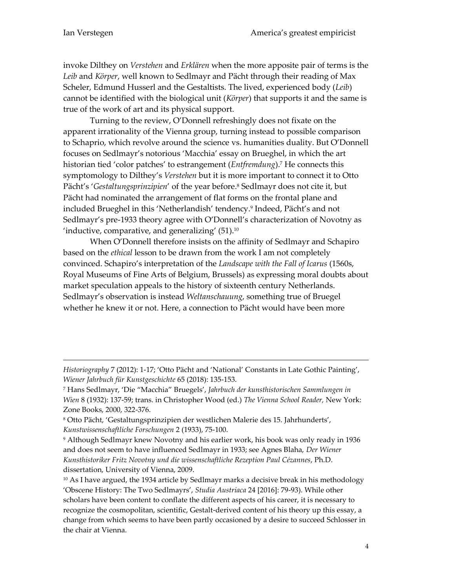-

invoke Dilthey on *Verstehen* and *Erklären* when the more apposite pair of terms is the *Leib* and *Körper*, well known to Sedlmayr and Pächt through their reading of Max Scheler, Edmund Husserl and the Gestaltists. The lived, experienced body (*Leib*) cannot be identified with the biological unit (*Körper*) that supports it and the same is true of the work of art and its physical support.

Turning to the review, O'Donnell refreshingly does not fixate on the apparent irrationality of the Vienna group, turning instead to possible comparison to Schaprio, which revolve around the science vs. humanities duality. But O'Donnell focuses on Sedlmayr's notorious 'Macchia' essay on Brueghel, in which the art historian tied 'color patches' to estrangement (*Entfremdung*).<sup>7</sup> He connects this symptomology to Dilthey's *Verstehen* but it is more important to connect it to Otto Pächt's '*Gestaltungsprinzipien*' of the year before.<sup>8</sup> Sedlmayr does not cite it, but Pächt had nominated the arrangement of flat forms on the frontal plane and included Brueghel in this 'Netherlandish' tendency.<sup>9</sup> Indeed, Pächt's and not Sedlmayr's pre-1933 theory agree with O'Donnell's characterization of Novotny as 'inductive, comparative, and generalizing'  $(51)$ <sup>10</sup>

When O'Donnell therefore insists on the affinity of Sedlmayr and Schapiro based on the *ethical* lesson to be drawn from the work I am not completely convinced. Schapiro's interpretation of the *Landscape with the Fall of Icarus* (1560s, Royal Museums of Fine Arts of Belgium, Brussels) as expressing moral doubts about market speculation appeals to the history of sixteenth century Netherlands. Sedlmayr's observation is instead *Weltanschauung*, something true of Bruegel whether he knew it or not. Here, a connection to Pächt would have been more

*Historiography* 7 (2012): 1-17; 'Otto Pächt and 'National' Constants in Late Gothic Painting', *Wiener Jahrbuch für Kunstgeschichte* 65 (2018): 135-153.

<sup>7</sup> Hans Sedlmayr, 'Die "Macchia" Bruegels', *Jahrbuch der kunsthistorischen Sammlungen in Wien* 8 (1932): 137-59; trans. in Christopher Wood (ed.) *The Vienna School Reader,* New York: Zone Books, 2000, 322-376.

<sup>8</sup> Otto Pächt, 'Gestaltungsprinzipien der westlichen Malerie des 15. Jahrhunderts', *Kunstwissenschaftliche Forschungen* 2 (1933), 75-100.

<sup>9</sup> Although Sedlmayr knew Novotny and his earlier work, his book was only ready in 1936 and does not seem to have influenced Sedlmayr in 1933; see Agnes Blaha, *Der Wiener Kunsthistoriker Fritz Novotny und die wissenschaftliche Rezeption Paul Cézannes*, Ph.D. dissertation, University of Vienna, 2009.

<sup>&</sup>lt;sup>10</sup> As I have argued, the 1934 article by Sedlmayr marks a decisive break in his methodology 'Obscene History: The Two Sedlmayrs', *Studia Austriaca* 24 [2016]: 79-93). While other scholars have been content to conflate the different aspects of his career, it is necessary to recognize the cosmopolitan, scientific, Gestalt-derived content of his theory up this essay, a change from which seems to have been partly occasioned by a desire to succeed Schlosser in the chair at Vienna.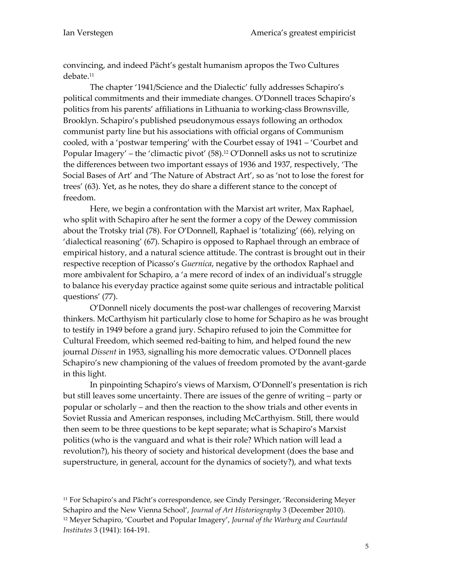convincing, and indeed Pächt's gestalt humanism apropos the Two Cultures debate.<sup>11</sup>

The chapter '1941/Science and the Dialectic' fully addresses Schapiro's political commitments and their immediate changes. O'Donnell traces Schapiro's politics from his parents' affiliations in Lithuania to working-class Brownsville, Brooklyn. Schapiro's published pseudonymous essays following an orthodox communist party line but his associations with official organs of Communism cooled, with a 'postwar tempering' with the Courbet essay of 1941 – 'Courbet and Popular Imagery' – the 'climactic pivot' (58).<sup>12</sup> O'Donnell asks us not to scrutinize the differences between two important essays of 1936 and 1937, respectively, 'The Social Bases of Art' and 'The Nature of Abstract Art', so as 'not to lose the forest for trees' (63). Yet, as he notes, they do share a different stance to the concept of freedom.

Here, we begin a confrontation with the Marxist art writer, Max Raphael, who split with Schapiro after he sent the former a copy of the Dewey commission about the Trotsky trial (78). For O'Donnell, Raphael is 'totalizing' (66), relying on 'dialectical reasoning' (67). Schapiro is opposed to Raphael through an embrace of empirical history, and a natural science attitude. The contrast is brought out in their respective reception of Picasso's *Guernica*, negative by the orthodox Raphael and more ambivalent for Schapiro, a 'a mere record of index of an individual's struggle to balance his everyday practice against some quite serious and intractable political questions' (77).

O'Donnell nicely documents the post-war challenges of recovering Marxist thinkers. McCarthyism hit particularly close to home for Schapiro as he was brought to testify in 1949 before a grand jury. Schapiro refused to join the Committee for Cultural Freedom, which seemed red-baiting to him, and helped found the new journal *Dissent* in 1953, signalling his more democratic values. O'Donnell places Schapiro's new championing of the values of freedom promoted by the avant-garde in this light.

In pinpointing Schapiro's views of Marxism, O'Donnell's presentation is rich but still leaves some uncertainty. There are issues of the genre of writing – party or popular or scholarly – and then the reaction to the show trials and other events in Soviet Russia and American responses, including McCarthyism. Still, there would then seem to be three questions to be kept separate; what is Schapiro's Marxist politics (who is the vanguard and what is their role? Which nation will lead a revolution?), his theory of society and historical development (does the base and superstructure, in general, account for the dynamics of society?), and what texts

<sup>11</sup> For Schapiro's and Pächt's correspondence, see Cindy Persinger, 'Reconsidering Meyer Schapiro and the New Vienna School', *Journal of Art Historiography* 3 (December 2010). <sup>12</sup> Meyer Schapiro, 'Courbet and Popular Imagery', *Journal of the Warburg and Courtauld Institutes* 3 (1941): 164-191.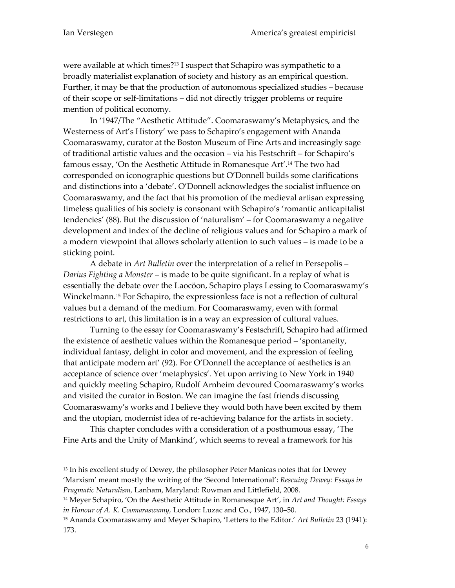were available at which times?<sup>13</sup> I suspect that Schapiro was sympathetic to a broadly materialist explanation of society and history as an empirical question. Further, it may be that the production of autonomous specialized studies – because of their scope or self-limitations – did not directly trigger problems or require mention of political economy.

In '1947/The "Aesthetic Attitude". Coomaraswamy's Metaphysics, and the Westerness of Art's History' we pass to Schapiro's engagement with Ananda Coomaraswamy, curator at the Boston Museum of Fine Arts and increasingly sage of traditional artistic values and the occasion – via his Festschrift – for Schapiro's famous essay, 'On the Aesthetic Attitude in Romanesque Art'.<sup>14</sup> The two had corresponded on iconographic questions but O'Donnell builds some clarifications and distinctions into a 'debate'. O'Donnell acknowledges the socialist influence on Coomaraswamy, and the fact that his promotion of the medieval artisan expressing timeless qualities of his society is consonant with Schapiro's 'romantic anticapitalist tendencies' (88). But the discussion of 'naturalism' – for Coomaraswamy a negative development and index of the decline of religious values and for Schapiro a mark of a modern viewpoint that allows scholarly attention to such values – is made to be a sticking point.

A debate in *Art Bulletin* over the interpretation of a relief in Persepolis – *Darius Fighting a Monster* – is made to be quite significant. In a replay of what is essentially the debate over the Laocöon, Schapiro plays Lessing to Coomaraswamy's Winckelmann.<sup>15</sup> For Schapiro, the expressionless face is not a reflection of cultural values but a demand of the medium. For Coomaraswamy, even with formal restrictions to art, this limitation is in a way an expression of cultural values.

Turning to the essay for Coomaraswamy's Festschrift, Schapiro had affirmed the existence of aesthetic values within the Romanesque period – 'spontaneity, individual fantasy, delight in color and movement, and the expression of feeling that anticipate modern art' (92). For O'Donnell the acceptance of aesthetics is an acceptance of science over 'metaphysics'. Yet upon arriving to New York in 1940 and quickly meeting Schapiro, Rudolf Arnheim devoured Coomaraswamy's works and visited the curator in Boston. We can imagine the fast friends discussing Coomaraswamy's works and I believe they would both have been excited by them and the utopian, modernist idea of re-achieving balance for the artists in society.

This chapter concludes with a consideration of a posthumous essay, 'The Fine Arts and the Unity of Mankind', which seems to reveal a framework for his

<sup>&</sup>lt;sup>13</sup> In his excellent study of Dewey, the philosopher Peter Manicas notes that for Dewey 'Marxism' meant mostly the writing of the 'Second International': *Rescuing Dewey: Essays in Pragmatic Naturalism,* Lanham, Maryland: Rowman and Littlefield, 2008.

<sup>14</sup> Meyer Schapiro, 'On the Aesthetic Attitude in Romanesque Art', in *Art and Thought: Essays in Honour of A. K. Coomaraswamy,* London: Luzac and Co., 1947, 130–50.

<sup>15</sup> Ananda Coomaraswamy and Meyer Schapiro, 'Letters to the Editor.' *Art Bulletin* 23 (1941): 173.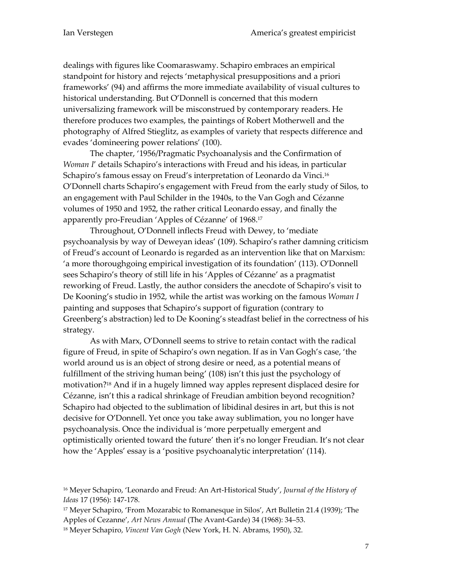dealings with figures like Coomaraswamy. Schapiro embraces an empirical standpoint for history and rejects 'metaphysical presuppositions and a priori frameworks' (94) and affirms the more immediate availability of visual cultures to historical understanding. But O'Donnell is concerned that this modern universalizing framework will be misconstrued by contemporary readers. He therefore produces two examples, the paintings of Robert Motherwell and the photography of Alfred Stieglitz, as examples of variety that respects difference and evades 'domineering power relations' (100).

The chapter, '1956/Pragmatic Psychoanalysis and the Confirmation of *Woman I*' details Schapiro's interactions with Freud and his ideas, in particular Schapiro's famous essay on Freud's interpretation of Leonardo da Vinci.<sup>16</sup> O'Donnell charts Schapiro's engagement with Freud from the early study of Silos, to an engagement with Paul Schilder in the 1940s, to the Van Gogh and Cézanne volumes of 1950 and 1952, the rather critical Leonardo essay, and finally the apparently pro-Freudian 'Apples of Cézanne' of 1968. 17

Throughout, O'Donnell inflects Freud with Dewey, to 'mediate psychoanalysis by way of Deweyan ideas' (109). Schapiro's rather damning criticism of Freud's account of Leonardo is regarded as an intervention like that on Marxism: 'a more thoroughgoing empirical investigation of its foundation' (113). O'Donnell sees Schapiro's theory of still life in his 'Apples of Cézanne' as a pragmatist reworking of Freud. Lastly, the author considers the anecdote of Schapiro's visit to De Kooning's studio in 1952, while the artist was working on the famous *Woman I*  painting and supposes that Schapiro's support of figuration (contrary to Greenberg's abstraction) led to De Kooning's steadfast belief in the correctness of his strategy.

As with Marx, O'Donnell seems to strive to retain contact with the radical figure of Freud, in spite of Schapiro's own negation. If as in Van Gogh's case, 'the world around us is an object of strong desire or need, as a potential means of fulfillment of the striving human being' (108) isn't this just the psychology of motivation?<sup>18</sup> And if in a hugely limned way apples represent displaced desire for Cézanne, isn't this a radical shrinkage of Freudian ambition beyond recognition? Schapiro had objected to the sublimation of libidinal desires in art, but this is not decisive for O'Donnell. Yet once you take away sublimation, you no longer have psychoanalysis. Once the individual is 'more perpetually emergent and optimistically oriented toward the future' then it's no longer Freudian. It's not clear how the 'Apples' essay is a 'positive psychoanalytic interpretation' (114).

<sup>16</sup> Meyer Schapiro, 'Leonardo and Freud: An Art-Historical Study', *Journal of the History of Ideas* 17 (1956): 147-178.

<sup>17</sup> Meyer Schapiro, 'From Mozarabic to Romanesque in Silos', Art Bulletin 21.4 (1939); 'The Apples of Cezanne', *Art News Annual* (The Avant-Garde) 34 (1968): 34–53.

<sup>18</sup> Meyer Schapiro, *Vincent Van Gogh* (New York, H. N. Abrams, 1950), 32.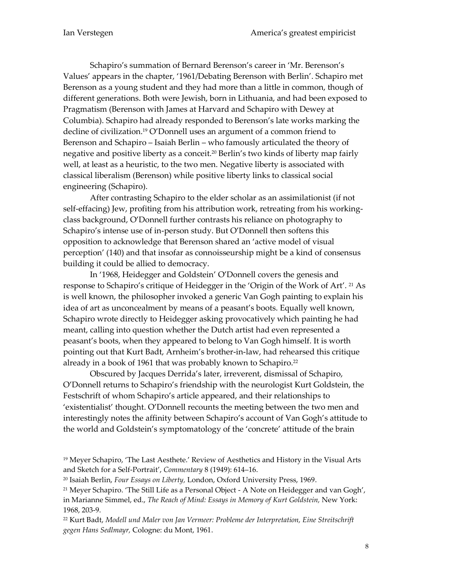Schapiro's summation of Bernard Berenson's career in 'Mr. Berenson's Values' appears in the chapter, '1961/Debating Berenson with Berlin'. Schapiro met Berenson as a young student and they had more than a little in common, though of different generations. Both were Jewish, born in Lithuania, and had been exposed to Pragmatism (Berenson with James at Harvard and Schapiro with Dewey at Columbia). Schapiro had already responded to Berenson's late works marking the decline of civilization.<sup>19</sup> O'Donnell uses an argument of a common friend to Berenson and Schapiro – Isaiah Berlin – who famously articulated the theory of negative and positive liberty as a conceit.<sup>20</sup> Berlin's two kinds of liberty map fairly well, at least as a heuristic, to the two men. Negative liberty is associated with classical liberalism (Berenson) while positive liberty links to classical social engineering (Schapiro).

After contrasting Schapiro to the elder scholar as an assimilationist (if not self-effacing) Jew, profiting from his attribution work, retreating from his workingclass background, O'Donnell further contrasts his reliance on photography to Schapiro's intense use of in-person study. But O'Donnell then softens this opposition to acknowledge that Berenson shared an 'active model of visual perception' (140) and that insofar as connoisseurship might be a kind of consensus building it could be allied to democracy.

In '1968, Heidegger and Goldstein' O'Donnell covers the genesis and response to Schapiro's critique of Heidegger in the 'Origin of the Work of Art'. <sup>21</sup> As is well known, the philosopher invoked a generic Van Gogh painting to explain his idea of art as unconcealment by means of a peasant's boots. Equally well known, Schapiro wrote directly to Heidegger asking provocatively which painting he had meant, calling into question whether the Dutch artist had even represented a peasant's boots, when they appeared to belong to Van Gogh himself. It is worth pointing out that Kurt Badt, Arnheim's brother-in-law, had rehearsed this critique already in a book of 1961 that was probably known to Schapiro.<sup>22</sup>

Obscured by Jacques Derrida's later, irreverent, dismissal of Schapiro, O'Donnell returns to Schapiro's friendship with the neurologist Kurt Goldstein, the Festschrift of whom Schapiro's article appeared, and their relationships to 'existentialist' thought. O'Donnell recounts the meeting between the two men and interestingly notes the affinity between Schapiro's account of Van Gogh's attitude to the world and Goldstein's symptomatology of the 'concrete' attitude of the brain

<sup>&</sup>lt;sup>19</sup> Meyer Schapiro, 'The Last Aesthete.' Review of Aesthetics and History in the Visual Arts and Sketch for a Self-Portrait', *Commentary* 8 (1949): 614–16.

<sup>20</sup> Isaiah Berlin, *Four Essays on Liberty,* London, Oxford University Press, 1969.

<sup>21</sup> Meyer Schapiro. 'The Still Life as a Personal Object - A Note on Heidegger and van Gogh', in Marianne Simmel, ed., *The Reach of Mind: Essays in Memory of Kurt Goldstein,* New York: 1968, 203-9.

<sup>22</sup> Kurt Badt, *Modell und Maler von Jan Vermeer: Probleme der Interpretation, Eine Streitschrift gegen Hans Sedlmayr,* Cologne: du Mont, 1961.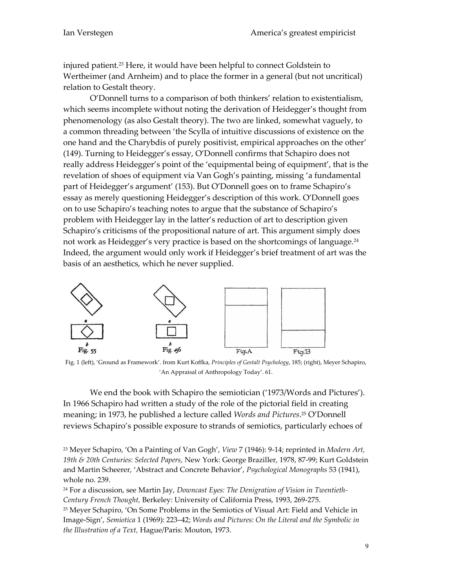injured patient.<sup>23</sup> Here, it would have been helpful to connect Goldstein to Wertheimer (and Arnheim) and to place the former in a general (but not uncritical) relation to Gestalt theory.

O'Donnell turns to a comparison of both thinkers' relation to existentialism, which seems incomplete without noting the derivation of Heidegger's thought from phenomenology (as also Gestalt theory). The two are linked, somewhat vaguely, to a common threading between 'the Scylla of intuitive discussions of existence on the one hand and the Charybdis of purely positivist, empirical approaches on the other' (149). Turning to Heidegger's essay, O'Donnell confirms that Schapiro does not really address Heidegger's point of the 'equipmental being of equipment', that is the revelation of shoes of equipment via Van Gogh's painting, missing 'a fundamental part of Heidegger's argument' (153). But O'Donnell goes on to frame Schapiro's essay as merely questioning Heidegger's description of this work. O'Donnell goes on to use Schapiro's teaching notes to argue that the substance of Schapiro's problem with Heidegger lay in the latter's reduction of art to description given Schapiro's criticisms of the propositional nature of art. This argument simply does not work as Heidegger's very practice is based on the shortcomings of language.<sup>24</sup> Indeed, the argument would only work if Heidegger's brief treatment of art was the basis of an aesthetics, which he never supplied.



Fig. 1 (left), 'Ground as Framework'. from Kurt Koffka, *Principles of Gestalt Psychology*, 185; (right), Meyer Schapiro, 'An Appraisal of Anthropology Today'. 61.

We end the book with Schapiro the semiotician ('1973/Words and Pictures'). In 1966 Schapiro had written a study of the role of the pictorial field in creating meaning; in 1973, he published a lecture called *Words and Pictures*. <sup>25</sup> O'Donnell reviews Schapiro's possible exposure to strands of semiotics, particularly echoes of

<sup>23</sup> Meyer Schapiro, 'On a Painting of Van Gogh', *View* 7 (1946): 9-14; reprinted in *Modern Art, 19th & 20th Centuries: Selected Papers,* New York: George Braziller, 1978, 87-99; Kurt Goldstein and Martin Scheerer, 'Abstract and Concrete Behavior', *Psychological Monographs* 53 (1941), whole no. 239.

<sup>24</sup> For a discussion, see Martin Jay, *Downcast Eyes: The Denigration of Vision in Twentieth-Century French Thought,* Berkeley: University of California Press, 1993, 269-275.

<sup>25</sup> Meyer Schapiro, 'On Some Problems in the Semiotics of Visual Art: Field and Vehicle in Image-Sign', *Semiotica* 1 (1969): 223–42; *Words and Pictures: On the Literal and the Symbolic in the Illustration of a Text,* Hague/Paris: Mouton, 1973.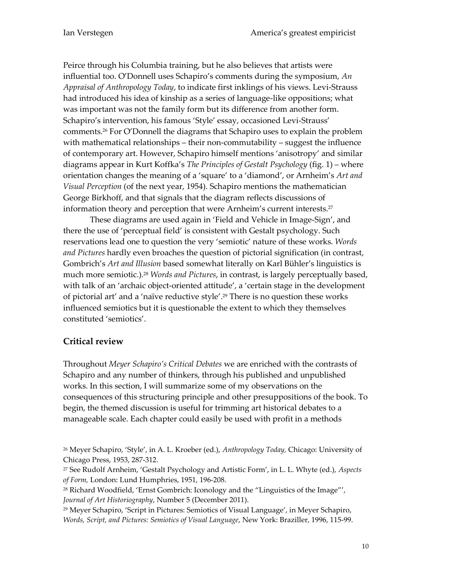Peirce through his Columbia training, but he also believes that artists were influential too. O'Donnell uses Schapiro's comments during the symposium, *An Appraisal of Anthropology Today*, to indicate first inklings of his views. Levi-Strauss had introduced his idea of kinship as a series of language-like oppositions; what was important was not the family form but its difference from another form. Schapiro's intervention, his famous 'Style' essay, occasioned Levi-Strauss' comments.<sup>26</sup> For O'Donnell the diagrams that Schapiro uses to explain the problem with mathematical relationships – their non-commutability – suggest the influence of contemporary art. However, Schapiro himself mentions 'anisotropy' and similar diagrams appear in Kurt Koffka's *The Principles of Gestalt Psychology* (fig. 1) – where orientation changes the meaning of a 'square' to a 'diamond', or Arnheim's *Art and Visual Perception* (of the next year, 1954). Schapiro mentions the mathematician George Birkhoff, and that signals that the diagram reflects discussions of information theory and perception that were Arnheim's current interests. 27

These diagrams are used again in 'Field and Vehicle in Image-Sign', and there the use of 'perceptual field' is consistent with Gestalt psychology. Such reservations lead one to question the very 'semiotic' nature of these works. *Words and Pictures* hardly even broaches the question of pictorial signification (in contrast, Gombrich's *Art and Illusion* based somewhat literally on Karl Bühler's linguistics is much more semiotic.).<sup>28</sup> *Words and Pictures*, in contrast, is largely perceptually based, with talk of an 'archaic object-oriented attitude', a 'certain stage in the development of pictorial art' and a 'naïve reductive style'.<sup>29</sup> There is no question these works influenced semiotics but it is questionable the extent to which they themselves constituted 'semiotics'.

## **Critical review**

Throughout *Meyer Schapiro's Critical Debates* we are enriched with the contrasts of Schapiro and any number of thinkers, through his published and unpublished works. In this section, I will summarize some of my observations on the consequences of this structuring principle and other presuppositions of the book. To begin, the themed discussion is useful for trimming art historical debates to a manageable scale. Each chapter could easily be used with profit in a methods

<sup>26</sup> Meyer Schapiro, 'Style', in A. L. Kroeber (ed.), *Anthropology Today,* Chicago: University of Chicago Press, 1953, 287-312.

<sup>27</sup> See Rudolf Arnheim, 'Gestalt Psychology and Artistic Form', in L. L. Whyte (ed.), *Aspects of Form,* London: Lund Humphries, 1951, 196-208.

<sup>28</sup> Richard Woodfield, 'Ernst Gombrich: Iconology and the "Linguistics of the Image"', *Journal of Art Historiography*, Number 5 (December 2011).

<sup>29</sup> Meyer Schapiro, 'Script in Pictures: Semiotics of Visual Language', in Meyer Schapiro, *Words, Script, and Pictures: Semiotics of Visual Language*, New York: Braziller, 1996, 115-99.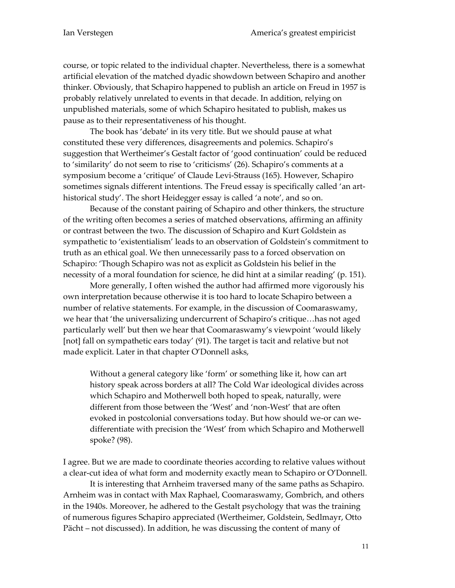course, or topic related to the individual chapter. Nevertheless, there is a somewhat artificial elevation of the matched dyadic showdown between Schapiro and another thinker. Obviously, that Schapiro happened to publish an article on Freud in 1957 is probably relatively unrelated to events in that decade. In addition, relying on unpublished materials, some of which Schapiro hesitated to publish, makes us pause as to their representativeness of his thought.

The book has 'debate' in its very title. But we should pause at what constituted these very differences, disagreements and polemics. Schapiro's suggestion that Wertheimer's Gestalt factor of 'good continuation' could be reduced to 'similarity' do not seem to rise to 'criticisms' (26). Schapiro's comments at a symposium become a 'critique' of Claude Levi-Strauss (165). However, Schapiro sometimes signals different intentions. The Freud essay is specifically called 'an arthistorical study'. The short Heidegger essay is called 'a note', and so on.

Because of the constant pairing of Schapiro and other thinkers, the structure of the writing often becomes a series of matched observations, affirming an affinity or contrast between the two. The discussion of Schapiro and Kurt Goldstein as sympathetic to 'existentialism' leads to an observation of Goldstein's commitment to truth as an ethical goal. We then unnecessarily pass to a forced observation on Schapiro: 'Though Schapiro was not as explicit as Goldstein his belief in the necessity of a moral foundation for science, he did hint at a similar reading' (p. 151).

More generally, I often wished the author had affirmed more vigorously his own interpretation because otherwise it is too hard to locate Schapiro between a number of relative statements. For example, in the discussion of Coomaraswamy, we hear that 'the universalizing undercurrent of Schapiro's critique…has not aged particularly well' but then we hear that Coomaraswamy's viewpoint 'would likely [not] fall on sympathetic ears today' (91). The target is tacit and relative but not made explicit. Later in that chapter O'Donnell asks,

Without a general category like 'form' or something like it, how can art history speak across borders at all? The Cold War ideological divides across which Schapiro and Motherwell both hoped to speak, naturally, were different from those between the 'West' and 'non-West' that are often evoked in postcolonial conversations today. But how should we-or can wedifferentiate with precision the 'West' from which Schapiro and Motherwell spoke? (98).

I agree. But we are made to coordinate theories according to relative values without a clear-cut idea of what form and modernity exactly mean to Schapiro or O'Donnell.

It is interesting that Arnheim traversed many of the same paths as Schapiro. Arnheim was in contact with Max Raphael, Coomaraswamy, Gombrich, and others in the 1940s. Moreover, he adhered to the Gestalt psychology that was the training of numerous figures Schapiro appreciated (Wertheimer, Goldstein, Sedlmayr, Otto Pächt – not discussed). In addition, he was discussing the content of many of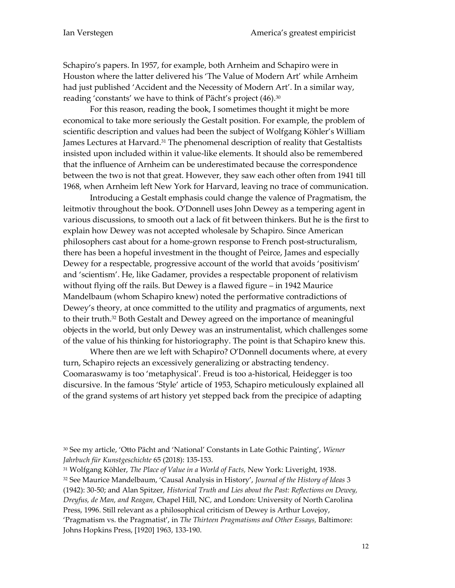Schapiro's papers. In 1957, for example, both Arnheim and Schapiro were in Houston where the latter delivered his 'The Value of Modern Art' while Arnheim had just published 'Accident and the Necessity of Modern Art'. In a similar way, reading 'constants' we have to think of Pächt's project (46).<sup>30</sup>

For this reason, reading the book, I sometimes thought it might be more economical to take more seriously the Gestalt position. For example, the problem of scientific description and values had been the subject of Wolfgang Köhler's William James Lectures at Harvard.<sup>31</sup> The phenomenal description of reality that Gestaltists insisted upon included within it value-like elements. It should also be remembered that the influence of Arnheim can be underestimated because the correspondence between the two is not that great. However, they saw each other often from 1941 till 1968, when Arnheim left New York for Harvard, leaving no trace of communication.

Introducing a Gestalt emphasis could change the valence of Pragmatism, the leitmotiv throughout the book. O'Donnell uses John Dewey as a tempering agent in various discussions, to smooth out a lack of fit between thinkers. But he is the first to explain how Dewey was not accepted wholesale by Schapiro. Since American philosophers cast about for a home-grown response to French post-structuralism, there has been a hopeful investment in the thought of Peirce, James and especially Dewey for a respectable, progressive account of the world that avoids 'positivism' and 'scientism'. He, like Gadamer, provides a respectable proponent of relativism without flying off the rails. But Dewey is a flawed figure – in 1942 Maurice Mandelbaum (whom Schapiro knew) noted the performative contradictions of Dewey's theory, at once committed to the utility and pragmatics of arguments, next to their truth.<sup>32</sup> Both Gestalt and Dewey agreed on the importance of meaningful objects in the world, but only Dewey was an instrumentalist, which challenges some of the value of his thinking for historiography. The point is that Schapiro knew this.

Where then are we left with Schapiro? O'Donnell documents where, at every turn, Schapiro rejects an excessively generalizing or abstracting tendency. Coomaraswamy is too 'metaphysical'. Freud is too a-historical, Heidegger is too discursive. In the famous 'Style' article of 1953, Schapiro meticulously explained all of the grand systems of art history yet stepped back from the precipice of adapting

<sup>31</sup> Wolfgang Köhler, *The Place of Value in a World of Facts,* New York: Liveright, 1938. <sup>32</sup> See Maurice Mandelbaum, 'Causal Analysis in History', *Journal of the History of Ideas* 3 (1942): 30-50; and Alan Spitzer, *Historical Truth and Lies about the Past: Reflections on Dewey, Dreyfus, de Man, and Reagan,* Chapel Hill, NC, and London: University of North Carolina Press, 1996. Still relevant as a philosophical criticism of Dewey is Arthur Lovejoy, 'Pragmatism vs. the Pragmatist', in *The Thirteen Pragmatisms and Other Essays,* Baltimore: Johns Hopkins Press, [1920] 1963, 133-190.

<sup>30</sup> See my article, 'Otto Pächt and 'National' Constants in Late Gothic Painting', *Wiener Jahrbuch für Kunstgeschichte* 65 (2018): 135-153.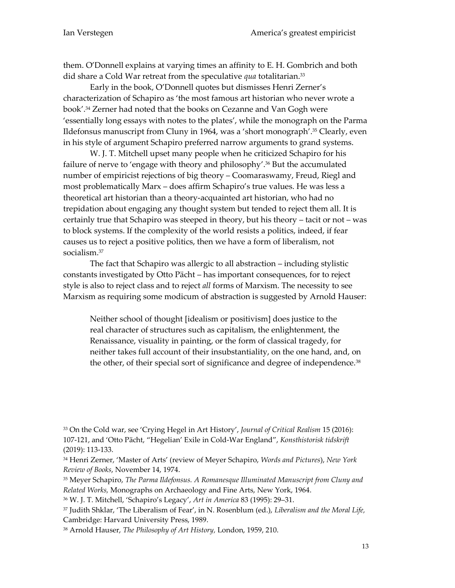them. O'Donnell explains at varying times an affinity to E. H. Gombrich and both did share a Cold War retreat from the speculative *qua* totalitarian.<sup>33</sup>

Early in the book, O'Donnell quotes but dismisses Henri Zerner's characterization of Schapiro as 'the most famous art historian who never wrote a book'.<sup>34</sup> Zerner had noted that the books on Cezanne and Van Gogh were 'essentially long essays with notes to the plates', while the monograph on the Parma Ildefonsus manuscript from Cluny in 1964, was a 'short monograph'.<sup>35</sup> Clearly, even in his style of argument Schapiro preferred narrow arguments to grand systems.

W. J. T. Mitchell upset many people when he criticized Schapiro for his failure of nerve to 'engage with theory and philosophy'.<sup>36</sup> But the accumulated number of empiricist rejections of big theory – Coomaraswamy, Freud, Riegl and most problematically Marx – does affirm Schapiro's true values. He was less a theoretical art historian than a theory-acquainted art historian, who had no trepidation about engaging any thought system but tended to reject them all. It is certainly true that Schapiro was steeped in theory, but his theory – tacit or not – was to block systems. If the complexity of the world resists a politics, indeed, if fear causes us to reject a positive politics, then we have a form of liberalism, not socialism.<sup>37</sup>

The fact that Schapiro was allergic to all abstraction – including stylistic constants investigated by Otto Pächt – has important consequences, for to reject style is also to reject class and to reject *all* forms of Marxism. The necessity to see Marxism as requiring some modicum of abstraction is suggested by Arnold Hauser:

Neither school of thought [idealism or positivism] does justice to the real character of structures such as capitalism, the enlightenment, the Renaissance, visuality in painting, or the form of classical tragedy, for neither takes full account of their insubstantiality, on the one hand, and, on the other, of their special sort of significance and degree of independence.<sup>38</sup>

<sup>33</sup> On the Cold war, see 'Crying Hegel in Art History', *Journal of Critical Realism* 15 (2016): 107-121, and 'Otto Pächt, "Hegelian' Exile in Cold-War England", *Konsthistorisk tidskrift* (2019): 113-133.

<sup>34</sup> Henri Zerner, 'Master of Arts' (review of Meyer Schapiro, *Words and Pictures*), *New York Review of Books*, November 14, 1974.

<sup>35</sup> Meyer Schapiro, *The Parma Ildefonsus. A Romanesque Illuminated Manuscript from Cluny and Related Works,* Monographs on Archaeology and Fine Arts, New York, 1964.

<sup>36</sup> W. J. T. Mitchell, 'Schapiro's Legacy', *Art in America* 83 (1995): 29–31.

<sup>37</sup> Judith Shklar, 'The Liberalism of Fear', in N. Rosenblum (ed.), *Liberalism and the Moral Life,* Cambridge: Harvard University Press, 1989.

<sup>38</sup> Arnold Hauser, *The Philosophy of Art History,* London, 1959, 210.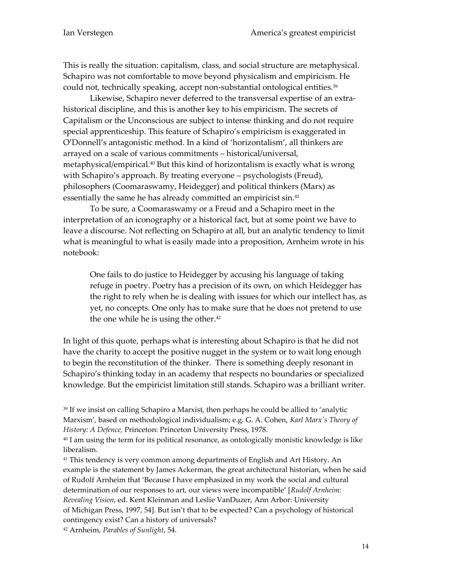This is really the situation: capitalism, class, and social structure are metaphysical. Schapiro was not comfortable to move beyond physicalism and empiricism. He could not, technically speaking, accept non-substantial ontological entities.<sup>39</sup>

Likewise, Schapiro never deferred to the transversal expertise of an extrahistorical discipline, and this is another key to his empiricism. The secrets of Capitalism or the Unconscious are subject to intense thinking and do not require special apprenticeship. This feature of Schapiro's empiricism is exaggerated in O'Donnell's antagonistic method. In a kind of 'horizontalism', all thinkers are arrayed on a scale of various commitments – historical/universal, metaphysical/empirical.<sup>40</sup> But this kind of horizontalism is exactly what is wrong with Schapiro's approach. By treating everyone – psychologists (Freud), philosophers (Coomaraswamy, Heidegger) and political thinkers (Marx) as essentially the same he has already committed an empiricist sin.<sup>41</sup>

To be sure, a Coomaraswamy or a Freud and a Schapiro meet in the interpretation of an iconography or a historical fact, but at some point we have to leave a discourse. Not reflecting on Schapiro at all, but an analytic tendency to limit what is meaningful to what is easily made into a proposition, Arnheim wrote in his notebook:

One fails to do justice to Heidegger by accusing his language of taking refuge in poetry. Poetry has a precision of its own, on which Heidegger has the right to rely when he is dealing with issues for which our intellect has, as yet, no concepts. One only has to make sure that he does not pretend to use the one while he is using the other.<sup>42</sup>

In light of this quote, perhaps what is interesting about Schapiro is that he did not have the charity to accept the positive nugget in the system or to wait long enough to begin the reconstitution of the thinker. There is something deeply resonant in Schapiro's thinking today in an academy that respects no boundaries or specialized knowledge. But the empiricist limitation still stands. Schapiro was a brilliant writer.

<sup>39</sup> If we insist on calling Schapiro a Marxist, then perhaps he could be allied to 'analytic Marxism', based on methodological individualism; e.g. G. A. Cohen, *Karl Marx's Theory of History: A Defence,* Princeton: Princeton University Press, 1978.

<sup>40</sup> I am using the term for its political resonance, as ontologically monistic knowledge is like liberalism.

<sup>41</sup> This tendency is very common among departments of English and Art History. An example is the statement by James Ackerman, the great architectural historian, when he said of Rudolf Arnheim that 'Because I have emphasized in my work the social and cultural determination of our responses to art, our views were incompatible' [*Rudolf Arnheim: Revealing Vision*, ed. Kent Kleinman and Leslie VanDuzer, Ann Arbor: University of Michigan Press, 1997, 54]. But isn't that to be expected? Can a psychology of historical contingency exist? Can a history of universals?

<sup>42</sup> Arnheim, *Parables of Sunlight*, 54.